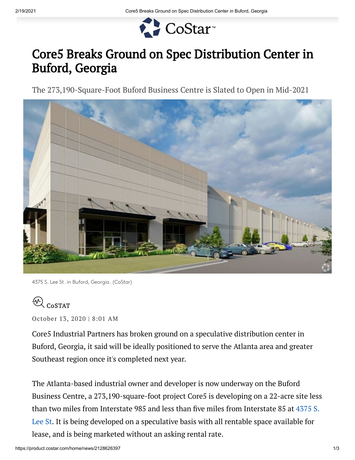

## Core5 Breaks Ground on Spec Distribution Center in Buford, Georgia

The 273,190-Square-Foot Buford Business Centre is Slated to Open in Mid-2021



<sup>4375</sup> S. Lee St. in Buford, Georgia. (CoStar)

## $\mathcal{R}_{\text{CoSTAT}}$

October 13, 2020 | 8:01 AM

Core5 Industrial Partners has broken ground on a speculative distribution center in Buford, Georgia, it said will be ideally positioned to serve the Atlanta area and greater Southeast region once it's completed next year.

The Atlanta-based industrial owner and developer is now underway on the Buford Business Centre, a 273,190-square-foot project Core5 is developing on a 22-acre site less than two miles from Interstate 985 and less than five miles from Interstate 85 at 4375 S. Lee St. It is being developed on a [speculative](http://gateway.costar.com/Gateway/Redir/RedirectToProduct.aspx?productId=1&redirUrl=redir%2FDefault.aspx%3FProductMode%3DProperty%26eid%3D11544558) basis with all rentable space available for lease, and is being marketed without an asking rental rate.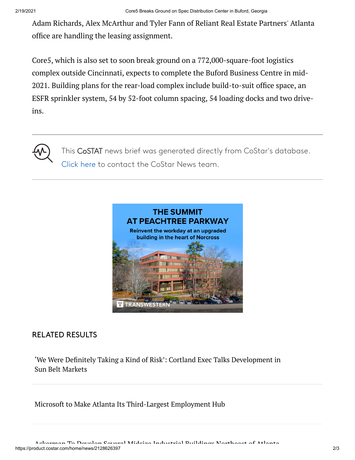Adam Richards, Alex McArthur and Tyler Fann of Reliant Real Estate Partners' Atlanta office are handling the leasing assignment.

Core5, which is also set to soon break ground on a 772,000-square-foot logistics complex outside Cincinnati, expects to complete the Buford Business Centre in mid-2021. Building plans for the rear-load complex include build-to-suit office space, an ESFR sprinkler system, 54 by 52-foot column spacing, 54 loading docks and two driveins.



This CoSTAT news brief was generated directly from CoStar's database. [Click here](mailto:news@costar.com) to contact the CoStar News team.



## RELATED RESULTS

'We Were Definitely Taking a Kind of Risk': Cortland Exec Talks [Development](https://product.costar.com/home/news/400620662) in Sun Belt Markets

Microsoft to Make Atlanta Its [Third-Largest](https://product.costar.com/home/news/78903728) Employment Hub